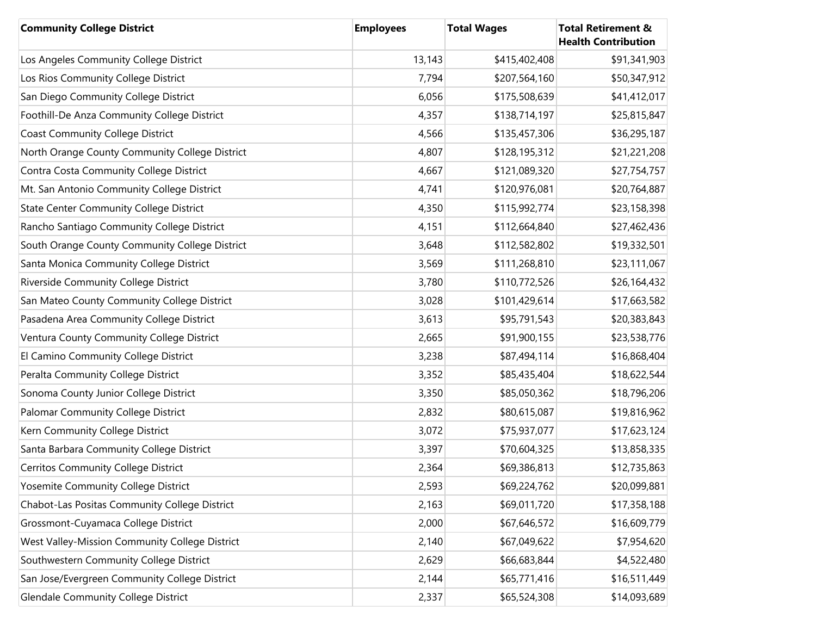| <b>Community College District</b>              | <b>Employees</b> | <b>Total Wages</b> | <b>Total Retirement &amp;</b><br><b>Health Contribution</b> |
|------------------------------------------------|------------------|--------------------|-------------------------------------------------------------|
| Los Angeles Community College District         | 13,143           | \$415,402,408      | \$91,341,903                                                |
| Los Rios Community College District            | 7,794            | \$207,564,160      | \$50,347,912                                                |
| San Diego Community College District           | 6,056            | \$175,508,639      | \$41,412,017                                                |
| Foothill-De Anza Community College District    | 4,357            | \$138,714,197      | \$25,815,847                                                |
| <b>Coast Community College District</b>        | 4,566            | \$135,457,306      | \$36,295,187                                                |
| North Orange County Community College District | 4,807            | \$128,195,312      | \$21,221,208                                                |
| Contra Costa Community College District        | 4,667            | \$121,089,320      | \$27,754,757                                                |
| Mt. San Antonio Community College District     | 4,741            | \$120,976,081      | \$20,764,887                                                |
| <b>State Center Community College District</b> | 4,350            | \$115,992,774      | \$23,158,398                                                |
| Rancho Santiago Community College District     | 4,151            | \$112,664,840      | \$27,462,436                                                |
| South Orange County Community College District | 3,648            | \$112,582,802      | \$19,332,501                                                |
| Santa Monica Community College District        | 3,569            | \$111,268,810      | \$23,111,067                                                |
| Riverside Community College District           | 3,780            | \$110,772,526      | \$26,164,432                                                |
| San Mateo County Community College District    | 3,028            | \$101,429,614      | \$17,663,582                                                |
| Pasadena Area Community College District       | 3,613            | \$95,791,543       | \$20,383,843                                                |
| Ventura County Community College District      | 2,665            | \$91,900,155       | \$23,538,776                                                |
| El Camino Community College District           | 3,238            | \$87,494,114       | \$16,868,404                                                |
| Peralta Community College District             | 3,352            | \$85,435,404       | \$18,622,544                                                |
| Sonoma County Junior College District          | 3,350            | \$85,050,362       | \$18,796,206                                                |
| Palomar Community College District             | 2,832            | \$80,615,087       | \$19,816,962                                                |
| Kern Community College District                | 3,072            | \$75,937,077       | \$17,623,124                                                |
| Santa Barbara Community College District       | 3,397            | \$70,604,325       | \$13,858,335                                                |
| Cerritos Community College District            | 2,364            | \$69,386,813       | \$12,735,863                                                |
| Yosemite Community College District            | 2,593            | \$69,224,762       | \$20,099,881                                                |
| Chabot-Las Positas Community College District  | 2,163            | \$69,011,720       | \$17,358,188                                                |
| Grossmont-Cuyamaca College District            | 2,000            | \$67,646,572       | \$16,609,779                                                |
| West Valley-Mission Community College District | 2,140            | \$67,049,622       | \$7,954,620                                                 |
| Southwestern Community College District        | 2,629            | \$66,683,844       | \$4,522,480                                                 |
| San Jose/Evergreen Community College District  | 2,144            | \$65,771,416       | \$16,511,449                                                |
| <b>Glendale Community College District</b>     | 2,337            | \$65,524,308       | \$14,093,689                                                |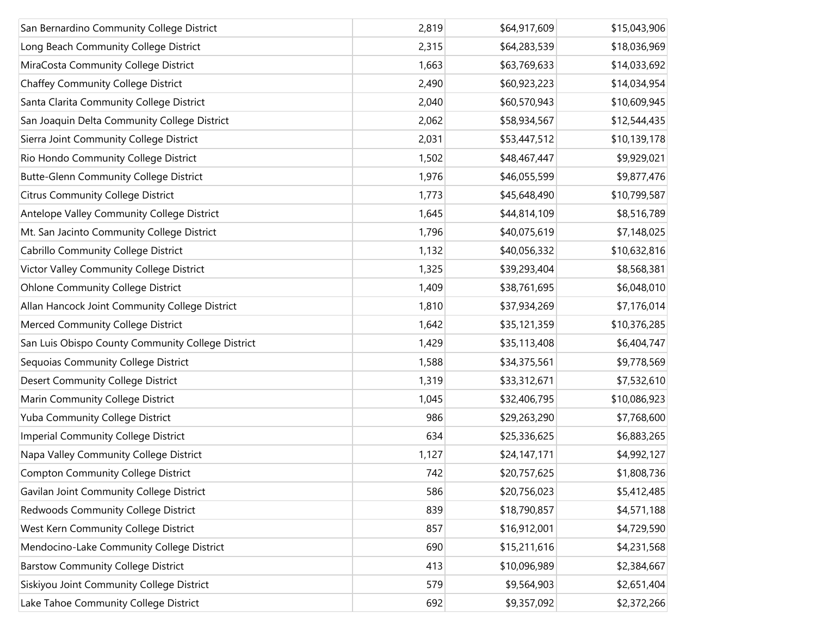| San Bernardino Community College District         | 2,819 | \$64,917,609 | \$15,043,906 |
|---------------------------------------------------|-------|--------------|--------------|
| Long Beach Community College District             | 2,315 | \$64,283,539 | \$18,036,969 |
| MiraCosta Community College District              | 1,663 | \$63,769,633 | \$14,033,692 |
| <b>Chaffey Community College District</b>         | 2,490 | \$60,923,223 | \$14,034,954 |
| Santa Clarita Community College District          | 2,040 | \$60,570,943 | \$10,609,945 |
| San Joaquin Delta Community College District      | 2,062 | \$58,934,567 | \$12,544,435 |
| Sierra Joint Community College District           | 2,031 | \$53,447,512 | \$10,139,178 |
| Rio Hondo Community College District              | 1,502 | \$48,467,447 | \$9,929,021  |
| <b>Butte-Glenn Community College District</b>     | 1,976 | \$46,055,599 | \$9,877,476  |
| <b>Citrus Community College District</b>          | 1,773 | \$45,648,490 | \$10,799,587 |
| Antelope Valley Community College District        | 1,645 | \$44,814,109 | \$8,516,789  |
| Mt. San Jacinto Community College District        | 1,796 | \$40,075,619 | \$7,148,025  |
| Cabrillo Community College District               | 1,132 | \$40,056,332 | \$10,632,816 |
| Victor Valley Community College District          | 1,325 | \$39,293,404 | \$8,568,381  |
| <b>Ohlone Community College District</b>          | 1,409 | \$38,761,695 | \$6,048,010  |
| Allan Hancock Joint Community College District    | 1,810 | \$37,934,269 | \$7,176,014  |
| Merced Community College District                 | 1,642 | \$35,121,359 | \$10,376,285 |
| San Luis Obispo County Community College District | 1,429 | \$35,113,408 | \$6,404,747  |
| Sequoias Community College District               | 1,588 | \$34,375,561 | \$9,778,569  |
| <b>Desert Community College District</b>          | 1,319 | \$33,312,671 | \$7,532,610  |
| Marin Community College District                  | 1,045 | \$32,406,795 | \$10,086,923 |
| Yuba Community College District                   | 986   | \$29,263,290 | \$7,768,600  |
| Imperial Community College District               | 634   | \$25,336,625 | \$6,883,265  |
| Napa Valley Community College District            | 1,127 | \$24,147,171 | \$4,992,127  |
| <b>Compton Community College District</b>         | 742   | \$20,757,625 | \$1,808,736  |
| Gavilan Joint Community College District          | 586   | \$20,756,023 | \$5,412,485  |
| Redwoods Community College District               | 839   | \$18,790,857 | \$4,571,188  |
| West Kern Community College District              | 857   | \$16,912,001 | \$4,729,590  |
| Mendocino-Lake Community College District         | 690   | \$15,211,616 | \$4,231,568  |
| <b>Barstow Community College District</b>         | 413   | \$10,096,989 | \$2,384,667  |
| Siskiyou Joint Community College District         | 579   | \$9,564,903  | \$2,651,404  |
| Lake Tahoe Community College District             | 692   | \$9,357,092  | \$2,372,266  |